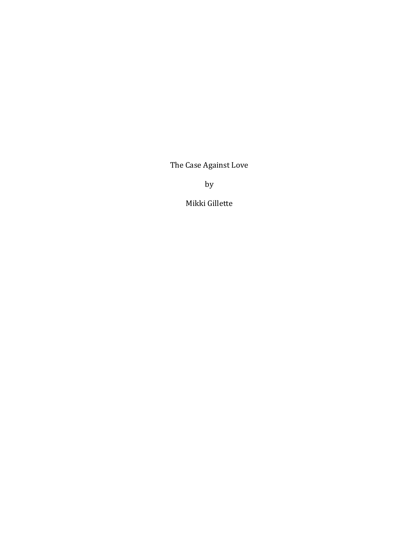The Case Against Love

by

Mikki Gillette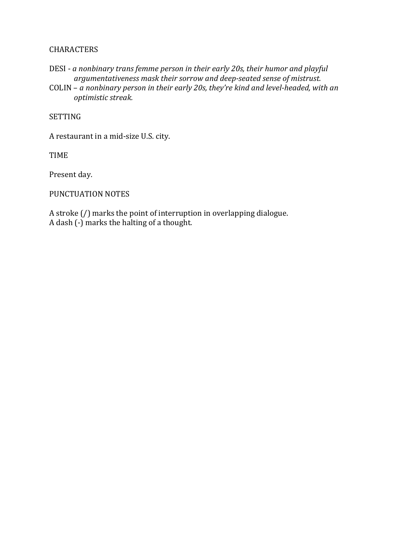## CHARACTERS

DESI - *a nonbinary trans femme person in their early 20s, their humor and playful argumentativeness mask their sorrow and deep-seated sense of mistrust.*

COLIN – *a nonbinary person in their early 20s, they're kind and level-headed, with an optimistic streak.*

SETTING

A restaurant in a mid-size U.S. city.

TIME

Present day.

PUNCTUATION NOTES

A stroke (/) marks the point of interruption in overlapping dialogue. A dash (-) marks the halting of a thought.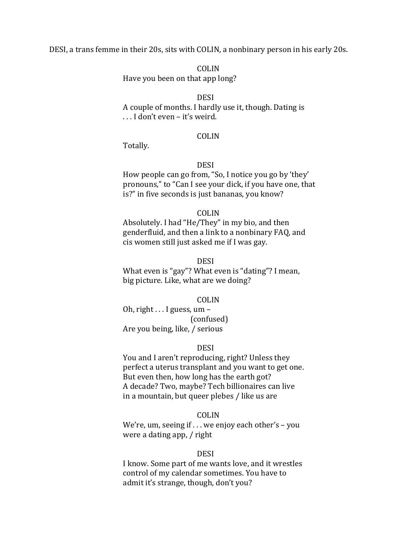DESI, a trans femme in their 20s, sits with COLIN, a nonbinary person in his early 20s.

COLIN

Have you been on that app long?

### DESI

A couple of months. I hardly use it, though. Dating is . . . I don't even – it's weird.

## COLIN

Totally.

## DESI

How people can go from, "So, I notice you go by 'they' pronouns," to "Can I see your dick, if you have one, that is?" in five seconds is just bananas, you know?

#### COLIN

Absolutely. I had "He/They" in my bio, and then genderfluid, and then a link to a nonbinary FAQ, and cis women still just asked me if I was gay.

# **DESI**

What even is "gay"? What even is "dating"? I mean, big picture. Like, what are we doing?

#### COLIN

Oh, right . . . I guess, um – (confused) Are you being, like, / serious

## **DESI**

You and I aren't reproducing, right? Unless they perfect a uterus transplant and you want to get one. But even then, how long has the earth got? A decade? Two, maybe? Tech billionaires can live in a mountain, but queer plebes / like us are

### COLIN

We're, um, seeing if . . . we enjoy each other's – you were a dating app, / right

## DESI

I know. Some part of me wants love, and it wrestles control of my calendar sometimes. You have to admit it's strange, though, don't you?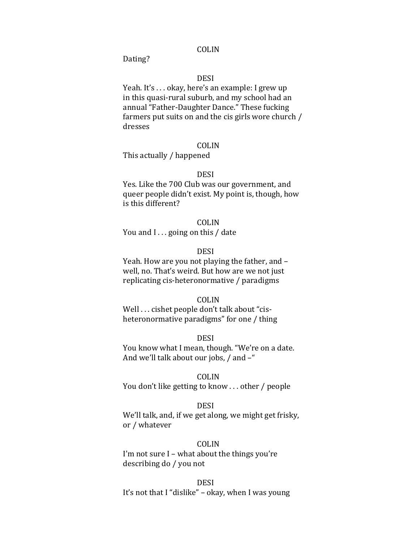Dating?

## DESI

Yeah. It's . . . okay, here's an example: I grew up in this quasi-rural suburb, and my school had an annual "Father-Daughter Dance." These fucking farmers put suits on and the cis girls wore church / dresses

### COLIN

This actually / happened

## **DESI**

Yes. Like the 700 Club was our government, and queer people didn't exist. My point is, though, how is this different?

#### COLIN

You and I... going on this / date

## DESI

Yeah. How are you not playing the father, and – well, no. That's weird. But how are we not just replicating cis-heteronormative / paradigms

#### COLIN

Well . . . cishet people don't talk about "cisheteronormative paradigms" for one / thing

#### DESI

You know what I mean, though. "We're on a date. And we'll talk about our jobs, / and –"

## COLIN

You don't like getting to know . . . other / people

#### DESI

We'll talk, and, if we get along, we might get frisky, or / whatever

## COLIN

I'm not sure I – what about the things you're describing do / you not

#### DESI

It's not that I "dislike" – okay, when I was young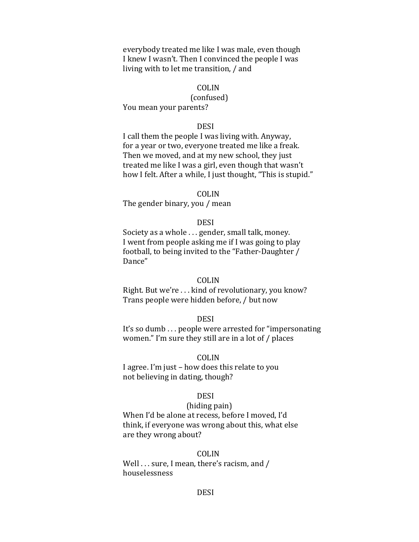everybody treated me like I was male, even though I knew I wasn't. Then I convinced the people I was living with to let me transition, / and

# COLIN

# (confused)

You mean your parents?

### DESI

I call them the people I was living with. Anyway, for a year or two, everyone treated me like a freak. Then we moved, and at my new school, they just treated me like I was a girl, even though that wasn't how I felt. After a while, I just thought, "This is stupid."

## COLIN

The gender binary, you / mean

### DESI

Society as a whole . . . gender, small talk, money. I went from people asking me if I was going to play football, to being invited to the "Father-Daughter / Dance"

#### COLIN

Right. But we're . . . kind of revolutionary, you know? Trans people were hidden before, / but now

### DESI

It's so dumb . . . people were arrested for "impersonating women." I'm sure they still are in a lot of / places

#### COLIN

I agree. I'm just – how does this relate to you not believing in dating, though?

#### DESI

## (hiding pain)

When I'd be alone at recess, before I moved, I'd think, if everyone was wrong about this, what else are they wrong about?

## COLIN

Well . . . sure, I mean, there's racism, and / houselessness

### **DESI**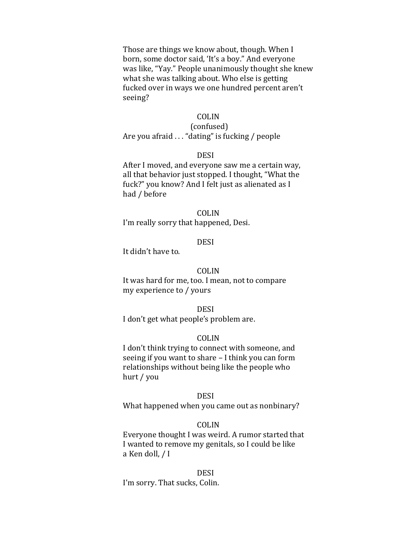Those are things we know about, though. When I born, some doctor said, 'It's a boy." And everyone was like, "Yay." People unanimously thought she knew what she was talking about. Who else is getting fucked over in ways we one hundred percent aren't seeing?

## COLIN

## (confused) Are you afraid . . . "dating" is fucking / people

#### DESI

After I moved, and everyone saw me a certain way, all that behavior just stopped. I thought, "What the fuck?" you know? And I felt just as alienated as I had / before

#### COLIN

I'm really sorry that happened, Desi.

## **DESI**

It didn't have to.

## COLIN

It was hard for me, too. I mean, not to compare my experience to / yours

#### DESI

I don't get what people's problem are.

### COLIN

I don't think trying to connect with someone, and seeing if you want to share – I think you can form relationships without being like the people who hurt / you

### DESI

What happened when you came out as nonbinary?

## COLIN

Everyone thought I was weird. A rumor started that I wanted to remove my genitals, so I could be like a Ken doll, / I

#### DESI

I'm sorry. That sucks, Colin.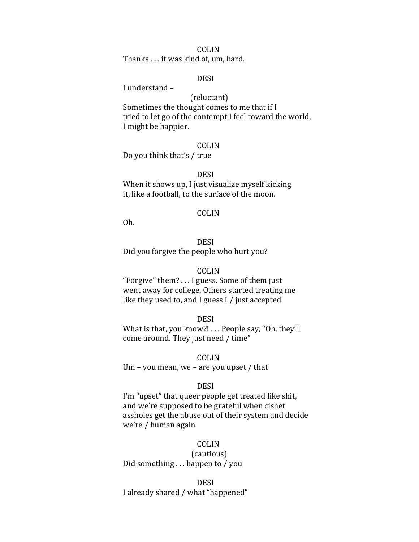Thanks . . . it was kind of, um, hard.

## DESI

I understand –

(reluctant) Sometimes the thought comes to me that if I tried to let go of the contempt I feel toward the world, I might be happier.

#### COLIN

Do you think that's / true

## DESI

When it shows up, I just visualize myself kicking it, like a football, to the surface of the moon.

#### COLIN

Oh.

# **DESI**

Did you forgive the people who hurt you?

## COLIN

"Forgive" them? . . . I guess. Some of them just went away for college. Others started treating me like they used to, and I guess I / just accepted

#### DESI

What is that, you know?! . . . People say, "Oh, they'll come around. They just need / time"

#### COLIN

Um – you mean, we – are you upset / that

#### DESI

I'm "upset" that queer people get treated like shit, and we're supposed to be grateful when cishet assholes get the abuse out of their system and decide we're / human again

# COLIN

(cautious) Did something . . . happen to / you

#### DESI

I already shared / what "happened"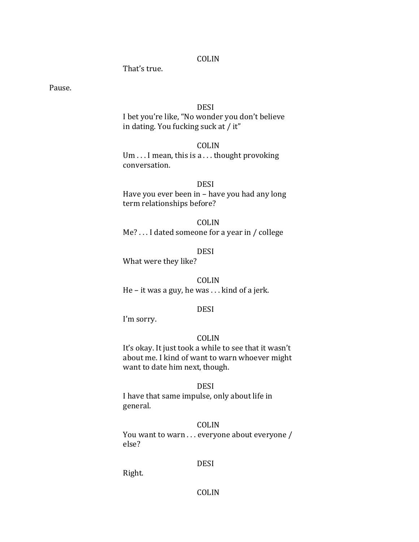That's true.

Pause.

## DESI

I bet you're like, "No wonder you don't believe in dating. You fucking suck at / it"

## COLIN

Um . . . I mean, this is a . . . thought provoking conversation.

# DESI

Have you ever been in – have you had any long term relationships before?

## COLIN

Me? . . . I dated someone for a year in / college

DESI

What were they like?

COLIN He – it was a guy, he was . . . kind of a jerk.

## DESI

I'm sorry.

### COLIN

It's okay. It just took a while to see that it wasn't about me. I kind of want to warn whoever might want to date him next, though.

## DESI

I have that same impulse, only about life in general.

### COLIN

You want to warn . . . everyone about everyone / else?

## DESI

Right.

## COLIN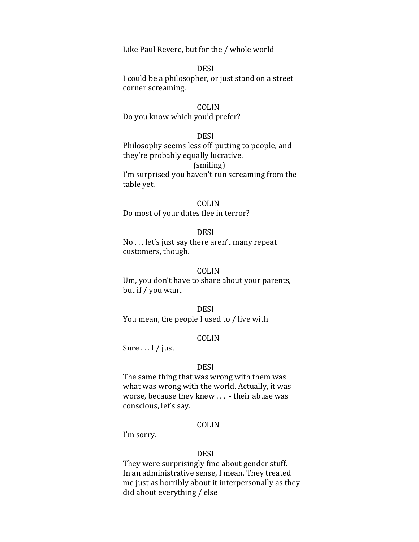Like Paul Revere, but for the / whole world

# DESI

I could be a philosopher, or just stand on a street corner screaming.

### COLIN

Do you know which you'd prefer?

# DESI

Philosophy seems less off-putting to people, and they're probably equally lucrative. (smiling)

I'm surprised you haven't run screaming from the table yet.

## COLIN

Do most of your dates flee in terror?

#### DESI

No . . . let's just say there aren't many repeat customers, though.

## COLIN

Um, you don't have to share about your parents, but if / you want

#### DESI

You mean, the people I used to / live with

## COLIN

Sure . . . I / just

#### DESI

The same thing that was wrong with them was what was wrong with the world. Actually, it was worse, because they knew . . . - their abuse was conscious, let's say.

### COLIN

I'm sorry.

## **DESI**

They were surprisingly fine about gender stuff. In an administrative sense, I mean. They treated me just as horribly about it interpersonally as they did about everything / else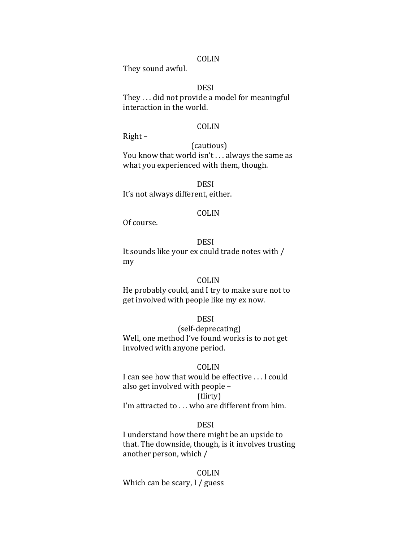They sound awful.

DESI

They . . . did not provide a model for meaningful interaction in the world.

### COLIN

Right –

(cautious) You know that world isn't . . . always the same as what you experienced with them, though.

DESI It's not always different, either.

### COLIN

Of course.

# **DESI**

It sounds like your ex could trade notes with / my

# COLIN

He probably could, and I try to make sure not to get involved with people like my ex now.

## DESI

(self-deprecating) Well, one method I've found works is to not get involved with anyone period.

#### COLIN

I can see how that would be effective . . . I could also get involved with people – (flirty)

I'm attracted to . . . who are different from him.

### DESI

I understand how there might be an upside to that. The downside, though, is it involves trusting another person, which /

COLIN Which can be scary, I / guess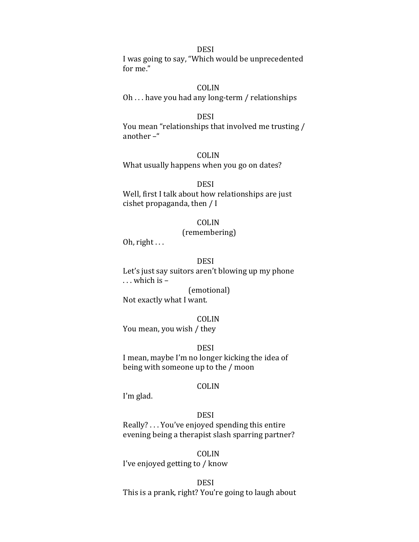# DESI

I was going to say, "Which would be unprecedented for me."

## COLIN

Oh . . . have you had any long-term / relationships

## DESI

You mean "relationships that involved me trusting / another –"

## COLIN

What usually happens when you go on dates?

## DESI

Well, first I talk about how relationships are just cishet propaganda, then / I

## COLIN

## (remembering)

Oh, right ...

# DESI

Let's just say suitors aren't blowing up my phone . . . which is – (emotional)

Not exactly what I want.

### COLIN

You mean, you wish / they

**DESI** 

I mean, maybe I'm no longer kicking the idea of being with someone up to the / moon

### COLIN

I'm glad.

# DESI

Really? . . . You've enjoyed spending this entire evening being a therapist slash sparring partner?

COLIN I've enjoyed getting to / know

DESI This is a prank, right? You're going to laugh about